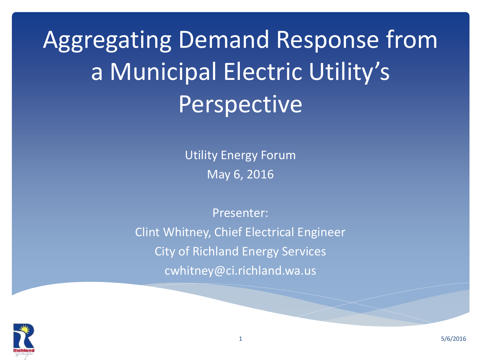Aggregating Demand Response from a Municipal Electric Utility's Perspective

> Utility Energy Forum May 6, 2016

Presenter: Clint Whitney, Chief Electrical Engineer City of Richland Energy Services cwhitney@ci.richland.wa.us

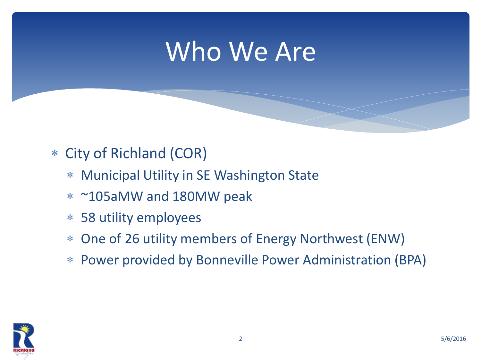### Who We Are

#### City of Richland (COR)

- Municipal Utility in SE Washington State
- ~105aMW and 180MW peak
- 58 utility employees
- One of 26 utility members of Energy Northwest (ENW)
- Power provided by Bonneville Power Administration (BPA)

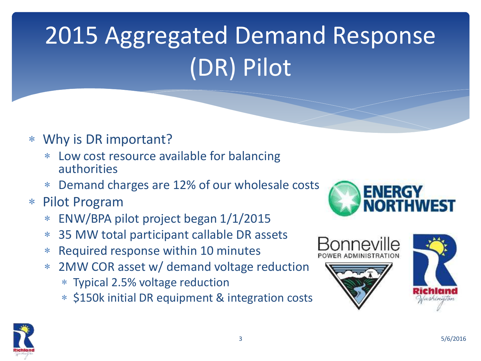# 2015 Aggregated Demand Response (DR) Pilot

- Why is DR important?
	- Low cost resource available for balancing authorities
	- Demand charges are 12% of our wholesale costs
- Pilot Program
	- ENW/BPA pilot project began 1/1/2015
	- 35 MW total participant callable DR assets
	- Required response within 10 minutes
	- 2MW COR asset w/ demand voltage reduction
		- Typical 2.5% voltage reduction
		- \* \$150k initial DR equipment & integration costs





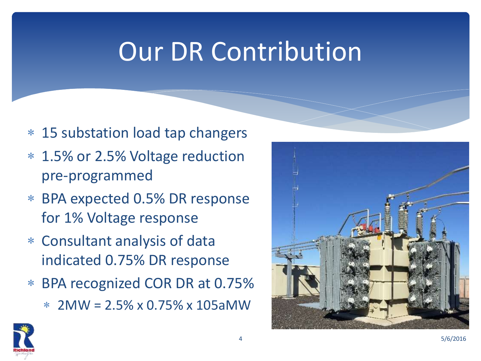## Our DR Contribution

- 15 substation load tap changers
- 1.5% or 2.5% Voltage reduction pre-programmed
- BPA expected 0.5% DR response for 1% Voltage response
- Consultant analysis of data indicated 0.75% DR response
- BPA recognized COR DR at 0.75%
	- $*$  2MW = 2.5% x 0.75% x 105aMW



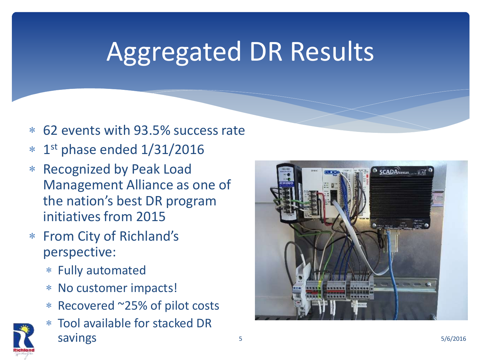## Aggregated DR Results

- 62 events with 93.5% success rate
- 1 st phase ended 1/31/2016
- Recognized by Peak Load Management Alliance as one of the nation's best DR program initiatives from 2015
- From City of Richland's perspective:
	- Fully automated
	- No customer impacts!
	- Recovered ~25% of pilot costs
	- Tool available for stacked DR  $s_0$  savings  $s_0$   $s_0$   $s_1$   $s_0$   $s_1$   $s_1$   $s_2$   $s_1$   $s_2$   $s_3$   $s_1$   $s_2$   $s_1$   $s_2$   $s_3$   $s_1$   $s_2$   $s_3$   $s_1$   $s_2$   $s_3$   $s_1$   $s_2$   $s_3$   $s_1$   $s_2$   $s_3$   $s_1$   $s_2$   $s_3$   $s_1$   $s_2$   $s_3$   $s_1$   $s_$



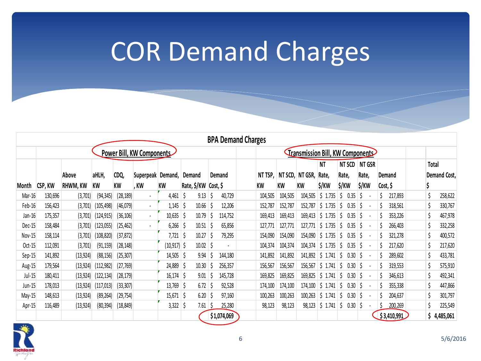## COR Demand Charges

|          |                           |                 |            |           |                          |              |                      |       |  |             | <b>BPA Demand Charges</b> |         |                                         |         |             |        |      |        |          |             |  |              |             |
|----------|---------------------------|-----------------|------------|-----------|--------------------------|--------------|----------------------|-------|--|-------------|---------------------------|---------|-----------------------------------------|---------|-------------|--------|------|--------|----------|-------------|--|--------------|-------------|
|          | Power Bill, KW Components |                 |            |           |                          |              |                      |       |  |             |                           |         | <b>Transmission Bill, KW Components</b> |         |             |        |      |        |          |             |  |              |             |
|          |                           |                 |            |           |                          |              |                      |       |  |             |                           |         |                                         |         | NT          | NT SCD |      | NT GSR |          |             |  | Total        |             |
|          |                           | Above           | aHLH,      | CDQ,      | Superpeak                | Demand,      | Demand               |       |  | Demand      |                           | NT TSP, | NT SCD,                                 | NT GSR, | Rate,       | Rate,  |      | Rate,  |          | Demand      |  | Demand Cost, |             |
| Month    | CSP, KW                   | <b>RHWM, KW</b> | KW         | KW        | , KW                     | KW           | Rate, \$/KW Cost, \$ |       |  |             |                           | KW      | KW                                      | KW      | \$/KW       | \$/KW  |      | \$/KW  | Cost, \$ |             |  |              |             |
| Mar-16   | 130,696                   | (3,701)         | (94, 345)  | (28, 189) | $\overline{\phantom{a}}$ | 4,461        |                      | 9.13  |  | 40,729      |                           | 104,505 | 104,505                                 | 104,505 | \$1.735     |        | 0.35 |        |          | 217,893     |  |              | 258,622     |
| $Feb-16$ | 156,423                   | (3,701)         | (105, 498) | (46, 079) | ٠                        | 1,145        |                      | 10.66 |  | 12,206      |                           | 152,787 | 152,787                                 | 152,787 | \$1.735     |        | 0.35 |        |          | 318,561     |  |              | 330,767     |
| $Jan-16$ | 175,357                   | (3,701)         | (124, 915) | (36, 106) | ٠                        | 10,635       |                      | 10.79 |  | 114,752     |                           | 169,413 | 169,413                                 | 169,413 | 1.735<br>S. |        | 0.35 |        |          | 353,226     |  |              | 467,978     |
| $Dec-15$ | 158,484                   | (3,701)         | (123,055)  | (25, 462) |                          | 6,266        |                      | 10.51 |  | 65,856      |                           | 127,771 | 127,771                                 | 127,771 | .735        |        | 0.35 |        |          | 266,403     |  |              | 332,258     |
| Nov-15   | 158,114                   | (3,701)         | (108, 820) | (37, 872) |                          | 7,721        |                      | 10.27 |  | 79,295      |                           | 154,090 | 154,090                                 | 154,090 | .735        |        | 0.35 |        |          | 321,278     |  |              | 400,572     |
| $Oct-15$ | 112,091                   | (3,701)         | (91, 159)  | (28, 148) |                          | (10,917)  \$ |                      | 10.02 |  |             |                           | 104,374 | 104,374                                 | 104,374 | \$1.735     |        | 0.35 |        |          | 217,620     |  |              | 217,620     |
| Sep-15   | 141,892                   | (13, 924)       | (88, 156)  | (25, 307) |                          | $14,505$ \$  |                      | 9.94  |  | 144,180     |                           | 141,892 | 141,892                                 | 141,892 | .741<br>N.  |        | 0.30 |        |          | 289,602     |  |              | 433,781     |
| Aug-15   | 179,564                   | (13, 924)       | (112, 982) | (27, 769) |                          | 24,889       |                      | 10.30 |  | 256,357     |                           | 156,567 | 156,567                                 | 156,567 | .741<br>S.  |        | 0.30 |        |          | 319,553     |  |              | 575,910     |
| $Jul-15$ | 180,411                   | (13, 924)       | (122, 134) | (28, 179) |                          | 16, 174      | S                    | 9.01  |  | 145,728     |                           | 169,825 | 169,825                                 | 169,825 | 1.741<br>S. |        | 0.30 |        |          | 346,613     |  |              | 492,341     |
| Jun-15   | 178,013                   | (13, 924)       | (117,013)  | (33, 307) |                          | 13,769       | -S                   | 6.72  |  | 92,528      |                           | 174,100 | 174,100                                 | 174,100 | \$1.741     |        | 0.30 |        |          | 355,338     |  |              | 447,866     |
| May-15   | 148,613                   | (13, 924)       | (89, 264)  | (29, 754) |                          | 15,671       | S                    | 6.20  |  | 97,160      |                           | 100,263 | 100,263                                 | 100,263 | \$1.741     |        | 0.30 |        |          | 204,637     |  |              | 301,797     |
| Apr-15   | 116,489                   | (13, 924)       | (80, 394)  | (18, 849) |                          | 3,322        |                      | 7.61  |  | 25,280      |                           | 98,123  | 98,123                                  | 98,123  | \$1.741     |        | 0.30 |        |          | 200,269     |  |              | 225,549     |
|          |                           |                 |            |           |                          |              |                      |       |  | \$1,074,069 |                           |         |                                         |         |             |        |      |        |          | \$3,410,991 |  |              | \$4,485,061 |

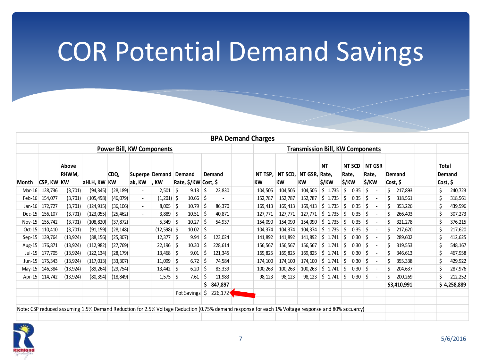## COR Potential Demand Savings

|          |                   |                |             |           |                          |                                  |                                |     |         | <b>BPA Demand Charges</b>                                                                                                                         |                                         |                              |                             |                                 |                                 |                    |  |                                    |  |
|----------|-------------------|----------------|-------------|-----------|--------------------------|----------------------------------|--------------------------------|-----|---------|---------------------------------------------------------------------------------------------------------------------------------------------------|-----------------------------------------|------------------------------|-----------------------------|---------------------------------|---------------------------------|--------------------|--|------------------------------------|--|
|          |                   |                |             |           |                          | <b>Power Bill, KW Components</b> |                                |     |         |                                                                                                                                                   | <b>Transmission Bill, KW Components</b> |                              |                             |                                 |                                 |                    |  |                                    |  |
| Month    | <b>CSP, KW KW</b> | Above<br>RHWM. | aHLH, KW KW | CDQ,      | ak, KW                   | Superpe Demand<br>. KW           | Demand<br>Rate, \$/KW Cost, \$ |     | Demand  | NT TSP.<br><b>KW</b>                                                                                                                              | <b>KW</b>                               | NT SCD, NT GSR,<br><b>KW</b> | <b>NT</b><br>Rate.<br>\$/KW | <b>NT SCD</b><br>Rate,<br>\$/KW | <b>NT GSR</b><br>Rate.<br>\$/KW | Demand<br>Cost, \$ |  | <b>Total</b><br>Demand<br>Cost, \$ |  |
| $Mar-16$ | 128.736           | (3,701)        | (94, 345)   | (28, 189) | $\overline{\phantom{a}}$ | 2,501                            | 9.13<br>-S                     | S   | 22,830  | 104,505                                                                                                                                           | 104,505                                 | 104.505                      | $5 \t1.735$                 | 0.35<br>S                       | Ŝ<br>$\sim$                     | 217,893            |  | 240,723                            |  |
| Feb-16   | 154,077           | (3,701)        | (105, 498)  | (46,079)  | $\sim$                   | (1,201)  \$                      | 10.66                          | S   |         | 152,787                                                                                                                                           | 152,787                                 | 152,787                      | 1.735<br>S.                 | 0.35<br>.S                      | <sup>\$</sup>                   | 318,561            |  | 318,561                            |  |
| $Jan-16$ | 172,727           | (3,701)        | (124,915)   | (36, 106) | $\sim$                   | 8.005                            | 10.79<br>-S                    | S   | 86,370  | 169,413                                                                                                                                           | 169,413                                 | 169.413                      | 1.735<br>S.                 | 0.35<br>S                       |                                 | 353,226            |  | 439,596                            |  |
| $Dec-15$ | 156,107           | (3,701)        | (123,055)   | (25, 462) |                          | 3,889                            | 10.51<br>-S                    | S   | 40,871  | 127,771                                                                                                                                           | 127,771                                 | 127,771                      | 1.735<br>S.                 | 0.35                            |                                 | 266,403            |  | 307,273                            |  |
| Nov-15   | 155,742           | (3,701)        | (108, 820)  | (37, 872) |                          | 5,349                            | 10.27<br>- S                   | S   | 54,937  | 154,090                                                                                                                                           | 154,090                                 | 154,090                      | 1.735<br>S.                 | 0.35<br>S                       | . —                             | 321.278            |  | 376,215                            |  |
| $Oct-15$ | 110,410           | (3,701)        | (91, 159)   | (28, 148) |                          | $(12,598)$ \$                    | 10.02                          | S   |         | 104,374                                                                                                                                           | 104,374                                 | 104,374                      | 1.735<br>S.                 | 0.35<br>S                       | S<br>$\sim$                     | 217,620            |  | 217,620                            |  |
| $Sep-15$ | 139,764           | (13, 924)      | (88, 156)   | (25, 307) |                          | $12,377$ \$                      | 9.94                           | S   | 123,024 | 141,892                                                                                                                                           | 141,892                                 | 141,892                      | 1.741<br>S.                 | 0.30<br>S                       | <sup>\$</sup><br>$\sim$         | 289,602            |  | 412,625                            |  |
| Aug-15   | 176,871           | (13, 924)      | (112, 982)  | (27, 769) |                          | 22,196                           | 10.30<br>-S                    | S   | 228,614 | 156,567                                                                                                                                           | 156,567                                 | 156,567                      | 1.741<br>S.                 | 0.30<br>S                       | S<br>$\sim$                     | 319,553            |  | 548,167                            |  |
| Jul-15   | 177,705           | (13, 924)      | (122, 134)  | (28, 179) |                          | 13,468                           | 9.01<br>-S                     | S   | 121,345 | 169,825                                                                                                                                           | 169,825                                 | 169,825                      | 1.741<br>S.                 | 0.30<br>S                       | $\overline{\phantom{a}}$        | 346.613            |  | 467,958                            |  |
| Jun-15   | 175,343           | (13, 924)      | (117, 013)  | (33, 307) |                          | 11,099                           | 6.72<br>-S                     | \$. | 74,584  | 174,100                                                                                                                                           | 174,100                                 | 174,100                      | 1.741<br>S.                 | 0.30<br>S                       | \$.                             | 355,338            |  | 429,922                            |  |
| $May-15$ | 146,384           | (13, 924)      | (89, 264)   | (29, 754) |                          | 13,442                           | 6.20<br>-S                     | S   | 83,339  | 100,263                                                                                                                                           | 100,263                                 | 100,263                      | 1.741<br>S.                 | 0.30<br>S                       |                                 | 204,637            |  | 287,976                            |  |
| $Apr-15$ | 114,742           | (13, 924)      | (80, 394)   | (18, 849) |                          | 1,575                            | 7.61<br>-S                     | S   | 11,983  | 98,123                                                                                                                                            | 98,123                                  | 98,123                       | 1.741<br>S.                 | 0.30<br>S                       | Ŝ                               | 200,269            |  | 212,252                            |  |
|          |                   |                |             |           |                          |                                  |                                | \$  | 847,897 |                                                                                                                                                   |                                         |                              |                             |                                 |                                 | \$3,410,991        |  | \$4,258,889                        |  |
|          |                   |                |             |           |                          |                                  | Pot Savings                    | S   | 226,172 |                                                                                                                                                   |                                         |                              |                             |                                 |                                 |                    |  |                                    |  |
|          |                   |                |             |           |                          |                                  |                                |     |         |                                                                                                                                                   |                                         |                              |                             |                                 |                                 |                    |  |                                    |  |
|          |                   |                |             |           |                          |                                  |                                |     |         | Note: CSP reduced assuming 1.5% Demand Reduction for 2.5% Voltage Reduction (0.75% demand response for each 1% Voltage response and 80% accuarcy) |                                         |                              |                             |                                 |                                 |                    |  |                                    |  |